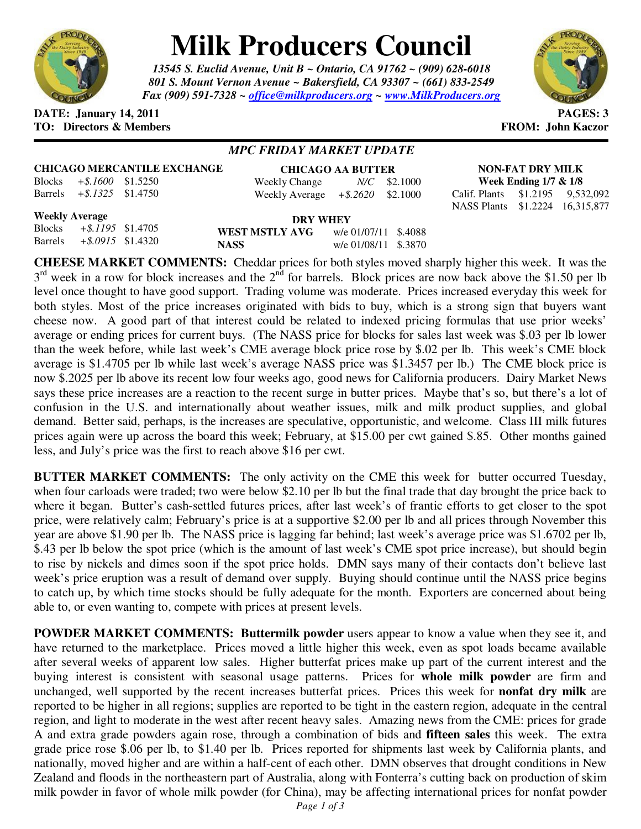

# **Milk Producers Council**

*13545 S. Euclid Avenue, Unit B ~ Ontario, CA 91762 ~ (909) 628-6018 801 S. Mount Vernon Avenue ~ Bakersfield, CA 93307 ~ (661) 833-2549 Fax (909) 591-7328 ~ office@milkproducers.org ~ www.MilkProducers.org*



#### **DATE: January 14, 2011 PAGES: 3 TO: Directors & Members FROM: John Kaczor**

# *MPC FRIDAY MARKET UPDATE*

## **CHICAGO MERCANTILE EXCHANGE**

| Blocks  | $+$ \$.1600 \$1.5250 |  |
|---------|----------------------|--|
| Barrels | $+$ \$.1325 \$1.4750 |  |

| <b>CHICAGO AA BUTTER</b> |                      |                |  |  |  |
|--------------------------|----------------------|----------------|--|--|--|
| Weekly Change            |                      | $N/C$ \$2.1000 |  |  |  |
| <b>Weekly Average</b>    | $+$ \$.2620 \$2.1000 |                |  |  |  |

**NON-FAT DRY MILK Week Ending 1/7 & 1/8**  Calif. Plants \$1.2195 9,532,092

NASS Plants \$1.2224 16,315,877

**Weekly Average**  $Blocks$ 

 $Barrels$ 

| verage               |                | DRY WHEY             |  |
|----------------------|----------------|----------------------|--|
| $+$ \$.1195 \$1.4705 | WEST MSTLY AVG | w/e 01/07/11 \$.4088 |  |
| $+$ \$.0915 \$1.4320 | <b>NASS</b>    | w/e 01/08/11 \$.3870 |  |

**CHEESE MARKET COMMENTS:** Cheddar prices for both styles moved sharply higher this week. It was the  $3<sup>rd</sup>$  week in a row for block increases and the  $2<sup>nd</sup>$  for barrels. Block prices are now back above the \$1.50 per lb level once thought to have good support. Trading volume was moderate. Prices increased everyday this week for both styles. Most of the price increases originated with bids to buy, which is a strong sign that buyers want cheese now. A good part of that interest could be related to indexed pricing formulas that use prior weeks' average or ending prices for current buys. (The NASS price for blocks for sales last week was \$.03 per lb lower than the week before, while last week's CME average block price rose by \$.02 per lb. This week's CME block average is \$1.4705 per lb while last week's average NASS price was \$1.3457 per lb.) The CME block price is now \$.2025 per lb above its recent low four weeks ago, good news for California producers. Dairy Market News says these price increases are a reaction to the recent surge in butter prices. Maybe that's so, but there's a lot of confusion in the U.S. and internationally about weather issues, milk and milk product supplies, and global demand. Better said, perhaps, is the increases are speculative, opportunistic, and welcome. Class III milk futures prices again were up across the board this week; February, at \$15.00 per cwt gained \$.85. Other months gained less, and July's price was the first to reach above \$16 per cwt.

**BUTTER MARKET COMMENTS:** The only activity on the CME this week for butter occurred Tuesday, when four carloads were traded; two were below \$2.10 per lb but the final trade that day brought the price back to where it began. Butter's cash-settled futures prices, after last week's of frantic efforts to get closer to the spot price, were relatively calm; February's price is at a supportive \$2.00 per lb and all prices through November this year are above \$1.90 per lb. The NASS price is lagging far behind; last week's average price was \$1.6702 per lb, \$.43 per lb below the spot price (which is the amount of last week's CME spot price increase), but should begin to rise by nickels and dimes soon if the spot price holds. DMN says many of their contacts don't believe last week's price eruption was a result of demand over supply. Buying should continue until the NASS price begins to catch up, by which time stocks should be fully adequate for the month. Exporters are concerned about being able to, or even wanting to, compete with prices at present levels.

**POWDER MARKET COMMENTS: Buttermilk powder** users appear to know a value when they see it, and have returned to the marketplace. Prices moved a little higher this week, even as spot loads became available after several weeks of apparent low sales. Higher butterfat prices make up part of the current interest and the buying interest is consistent with seasonal usage patterns. Prices for **whole milk powder** are firm and unchanged, well supported by the recent increases butterfat prices. Prices this week for **nonfat dry milk** are reported to be higher in all regions; supplies are reported to be tight in the eastern region, adequate in the central region, and light to moderate in the west after recent heavy sales. Amazing news from the CME: prices for grade A and extra grade powders again rose, through a combination of bids and **fifteen sales** this week. The extra grade price rose \$.06 per lb, to \$1.40 per lb. Prices reported for shipments last week by California plants, and nationally, moved higher and are within a half-cent of each other. DMN observes that drought conditions in New Zealand and floods in the northeastern part of Australia, along with Fonterra's cutting back on production of skim milk powder in favor of whole milk powder (for China), may be affecting international prices for nonfat powder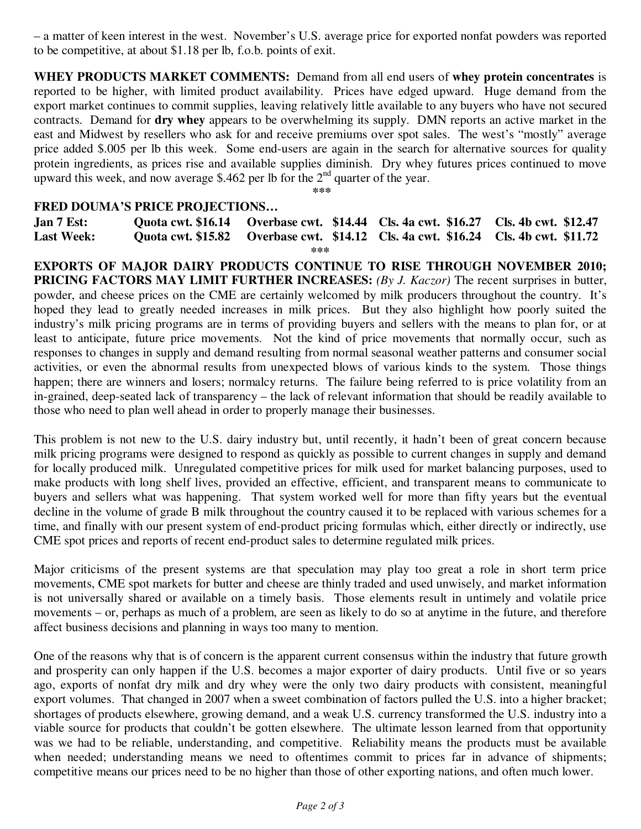– a matter of keen interest in the west. November's U.S. average price for exported nonfat powders was reported to be competitive, at about \$1.18 per lb, f.o.b. points of exit.

**WHEY PRODUCTS MARKET COMMENTS:** Demand from all end users of **whey protein concentrates** is reported to be higher, with limited product availability. Prices have edged upward. Huge demand from the export market continues to commit supplies, leaving relatively little available to any buyers who have not secured contracts. Demand for **dry whey** appears to be overwhelming its supply. DMN reports an active market in the east and Midwest by resellers who ask for and receive premiums over spot sales. The west's "mostly" average price added \$.005 per lb this week. Some end-users are again in the search for alternative sources for quality protein ingredients, as prices rise and available supplies diminish. Dry whey futures prices continued to move upward this week, and now average \$.462 per lb for the  $2<sup>nd</sup>$  quarter of the year.

**\*\*\*** 

### **FRED DOUMA'S PRICE PROJECTIONS…**

**Jan 7 Est: Quota cwt. \$16.14 Overbase cwt. \$14.44 Cls. 4a cwt. \$16.27 Cls. 4b cwt. \$12.47 Last Week: Quota cwt. \$15.82 Overbase cwt. \$14.12 Cls. 4a cwt. \$16.24 Cls. 4b cwt. \$11.72 \*\*\*** 

**EXPORTS OF MAJOR DAIRY PRODUCTS CONTINUE TO RISE THROUGH NOVEMBER 2010; PRICING FACTORS MAY LIMIT FURTHER INCREASES:** *(By J. Kaczor)* The recent surprises in butter, powder, and cheese prices on the CME are certainly welcomed by milk producers throughout the country. It's hoped they lead to greatly needed increases in milk prices. But they also highlight how poorly suited the industry's milk pricing programs are in terms of providing buyers and sellers with the means to plan for, or at least to anticipate, future price movements. Not the kind of price movements that normally occur, such as responses to changes in supply and demand resulting from normal seasonal weather patterns and consumer social activities, or even the abnormal results from unexpected blows of various kinds to the system. Those things happen; there are winners and losers; normalcy returns. The failure being referred to is price volatility from an in-grained, deep-seated lack of transparency – the lack of relevant information that should be readily available to those who need to plan well ahead in order to properly manage their businesses.

This problem is not new to the U.S. dairy industry but, until recently, it hadn't been of great concern because milk pricing programs were designed to respond as quickly as possible to current changes in supply and demand for locally produced milk. Unregulated competitive prices for milk used for market balancing purposes, used to make products with long shelf lives, provided an effective, efficient, and transparent means to communicate to buyers and sellers what was happening. That system worked well for more than fifty years but the eventual decline in the volume of grade B milk throughout the country caused it to be replaced with various schemes for a time, and finally with our present system of end-product pricing formulas which, either directly or indirectly, use CME spot prices and reports of recent end-product sales to determine regulated milk prices.

Major criticisms of the present systems are that speculation may play too great a role in short term price movements, CME spot markets for butter and cheese are thinly traded and used unwisely, and market information is not universally shared or available on a timely basis. Those elements result in untimely and volatile price movements – or, perhaps as much of a problem, are seen as likely to do so at anytime in the future, and therefore affect business decisions and planning in ways too many to mention.

One of the reasons why that is of concern is the apparent current consensus within the industry that future growth and prosperity can only happen if the U.S. becomes a major exporter of dairy products. Until five or so years ago, exports of nonfat dry milk and dry whey were the only two dairy products with consistent, meaningful export volumes. That changed in 2007 when a sweet combination of factors pulled the U.S. into a higher bracket; shortages of products elsewhere, growing demand, and a weak U.S. currency transformed the U.S. industry into a viable source for products that couldn't be gotten elsewhere. The ultimate lesson learned from that opportunity was we had to be reliable, understanding, and competitive. Reliability means the products must be available when needed; understanding means we need to oftentimes commit to prices far in advance of shipments; competitive means our prices need to be no higher than those of other exporting nations, and often much lower.